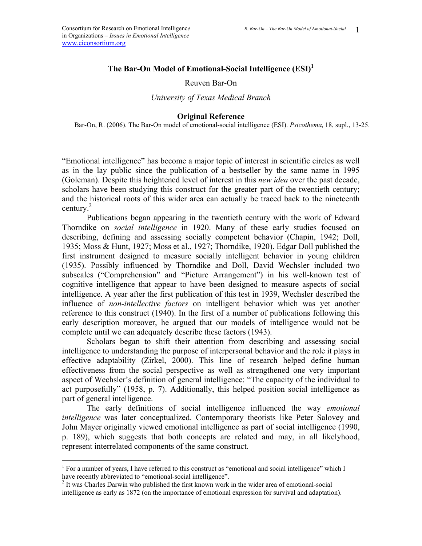# **The Bar-On Model of Emotional-Social Intelligence (ESI)<sup>1</sup>**

#### Reuven Bar-On

#### *University of Texas Medical Branch*

#### **Original Reference**

Bar-On, R. (2006). The Bar-On model of emotional-social intelligence (ESI). *Psicothema*, 18, supl., 13-25.

"Emotional intelligence" has become a major topic of interest in scientific circles as well as in the lay public since the publication of a bestseller by the same name in 1995 (Goleman). Despite this heightened level of interest in this *new idea* over the past decade, scholars have been studying this construct for the greater part of the twentieth century; and the historical roots of this wider area can actually be traced back to the nineteenth century. $^{2}$ 

Publications began appearing in the twentieth century with the work of Edward Thorndike on *social intelligence* in 1920. Many of these early studies focused on describing, defining and assessing socially competent behavior (Chapin, 1942; Doll, 1935; Moss & Hunt, 1927; Moss et al., 1927; Thorndike, 1920). Edgar Doll published the first instrument designed to measure socially intelligent behavior in young children (1935). Possibly influenced by Thorndike and Doll, David Wechsler included two subscales ("Comprehension" and "Picture Arrangement") in his well-known test of cognitive intelligence that appear to have been designed to measure aspects of social intelligence. A year after the first publication of this test in 1939, Wechsler described the influence of *non-intellective factors* on intelligent behavior which was yet another reference to this construct (1940). In the first of a number of publications following this early description moreover, he argued that our models of intelligence would not be complete until we can adequately describe these factors (1943).

Scholars began to shift their attention from describing and assessing social intelligence to understanding the purpose of interpersonal behavior and the role it plays in effective adaptability (Zirkel, 2000). This line of research helped define human effectiveness from the social perspective as well as strengthened one very important aspect of Wechsler's definition of general intelligence: "The capacity of the individual to act purposefully" (1958, p. 7). Additionally, this helped position social intelligence as part of general intelligence.

The early definitions of social intelligence influenced the way *emotional intelligence* was later conceptualized. Contemporary theorists like Peter Salovey and John Mayer originally viewed emotional intelligence as part of social intelligence (1990, p. 189), which suggests that both concepts are related and may, in all likelyhood, represent interrelated components of the same construct.

 $\overline{a}$ 

<sup>&</sup>lt;sup>1</sup> For a number of years, I have referred to this construct as "emotional and social intelligence" which I have recently abbreviated to "emotional-social intelligence".

<sup>&</sup>lt;sup>2</sup> It was Charles Darwin who published the first known work in the wider area of emotional-social intelligence as early as 1872 (on the importance of emotional expression for survival and adaptation).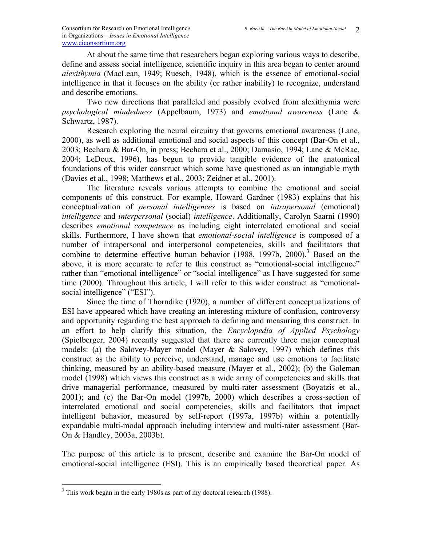At about the same time that researchers began exploring various ways to describe, define and assess social intelligence, scientific inquiry in this area began to center around *alexithymia* (MacLean, 1949; Ruesch, 1948), which is the essence of emotional-social intelligence in that it focuses on the ability (or rather inability) to recognize, understand and describe emotions.

Two new directions that paralleled and possibly evolved from alexithymia were *psychological mindedness* (Appelbaum, 1973) and *emotional awareness* (Lane & Schwartz, 1987).

Research exploring the neural circuitry that governs emotional awareness (Lane, 2000), as well as additional emotional and social aspects of this concept (Bar-On et al., 2003; Bechara & Bar-On, in press; Bechara et al., 2000; Damasio, 1994; Lane & McRae, 2004; LeDoux, 1996), has begun to provide tangible evidence of the anatomical foundations of this wider construct which some have questioned as an intangiable myth (Davies et al., 1998; Matthews et al., 2003; Zeidner et al., 2001).

The literature reveals various attempts to combine the emotional and social components of this construct. For example, Howard Gardner (1983) explains that his conceptualization of *personal intelligences* is based on *intrapersonal* (emotional) *intelligence* and *interpersonal* (social) *intelligence*. Additionally, Carolyn Saarni (1990) describes *emotional competence* as including eight interrelated emotional and social skills. Furthermore, I have shown that *emotional-social intelligence* is composed of a number of intrapersonal and interpersonal competencies, skills and facilitators that combine to determine effective human behavior (1988, 1997b, 2000).<sup>3</sup> Based on the above, it is more accurate to refer to this construct as "emotional-social intelligence" rather than "emotional intelligence" or "social intelligence" as I have suggested for some time (2000). Throughout this article, I will refer to this wider construct as "emotionalsocial intelligence" ("ESI").

Since the time of Thorndike (1920), a number of different conceptualizations of ESI have appeared which have creating an interesting mixture of confusion, controversy and opportunity regarding the best approach to defining and measuring this construct. In an effort to help clarify this situation, the *Encyclopedia of Applied Psychology* (Spielberger, 2004) recently suggested that there are currently three major conceptual models: (a) the Salovey-Mayer model (Mayer & Salovey, 1997) which defines this construct as the ability to perceive, understand, manage and use emotions to facilitate thinking, measured by an ability-based measure (Mayer et al., 2002); (b) the Goleman model (1998) which views this construct as a wide array of competencies and skills that drive managerial performance, measured by multi-rater assessment (Boyatzis et al., 2001); and (c) the Bar-On model (1997b, 2000) which describes a cross-section of interrelated emotional and social competencies, skills and facilitators that impact intelligent behavior, measured by self-report (1997a, 1997b) within a potentially expandable multi-modal approach including interview and multi-rater assessment (Bar-On & Handley, 2003a, 2003b).

The purpose of this article is to present, describe and examine the Bar-On model of emotional-social intelligence (ESI). This is an empirically based theoretical paper. As

<u>.</u>

 $3$  This work began in the early 1980s as part of my doctoral research (1988).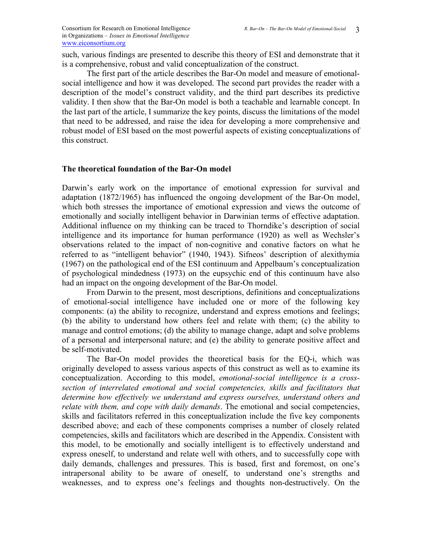such, various findings are presented to describe this theory of ESI and demonstrate that it is a comprehensive, robust and valid conceptualization of the construct.

The first part of the article describes the Bar-On model and measure of emotionalsocial intelligence and how it was developed. The second part provides the reader with a description of the model's construct validity, and the third part describes its predictive validity. I then show that the Bar-On model is both a teachable and learnable concept. In the last part of the article, I summarize the key points, discuss the limitations of the model that need to be addressed, and raise the idea for developing a more comprehensive and robust model of ESI based on the most powerful aspects of existing conceptualizations of this construct.

### **The theoretical foundation of the Bar-On model**

Darwin's early work on the importance of emotional expression for survival and adaptation (1872/1965) has influenced the ongoing development of the Bar-On model, which both stresses the importance of emotional expression and views the outcome of emotionally and socially intelligent behavior in Darwinian terms of effective adaptation. Additional influence on my thinking can be traced to Thorndike's description of social intelligence and its importance for human performance (1920) as well as Wechsler's observations related to the impact of non-cognitive and conative factors on what he referred to as "intelligent behavior" (1940, 1943). Sifneos' description of alexithymia (1967) on the pathological end of the ESI continuum and Appelbaum's conceptualization of psychological mindedness (1973) on the eupsychic end of this continuum have also had an impact on the ongoing development of the Bar-On model.

From Darwin to the present, most descriptions, definitions and conceptualizations of emotional-social intelligence have included one or more of the following key components: (a) the ability to recognize, understand and express emotions and feelings; (b) the ability to understand how others feel and relate with them; (c) the ability to manage and control emotions; (d) the ability to manage change, adapt and solve problems of a personal and interpersonal nature; and (e) the ability to generate positive affect and be self-motivated.

The Bar-On model provides the theoretical basis for the EQ-i, which was originally developed to assess various aspects of this construct as well as to examine its conceptualization. According to this model, *emotional-social intelligence is a crosssection of interrelated emotional and social competencies, skills and facilitators that determine how effectively we understand and express ourselves, understand others and relate with them, and cope with daily demands*. The emotional and social competencies, skills and facilitators referred in this conceptualization include the five key components described above; and each of these components comprises a number of closely related competencies, skills and facilitators which are described in the Appendix. Consistent with this model, to be emotionally and socially intelligent is to effectively understand and express oneself, to understand and relate well with others, and to successfully cope with daily demands, challenges and pressures. This is based, first and foremost, on one's intrapersonal ability to be aware of oneself, to understand one's strengths and weaknesses, and to express one's feelings and thoughts non-destructively. On the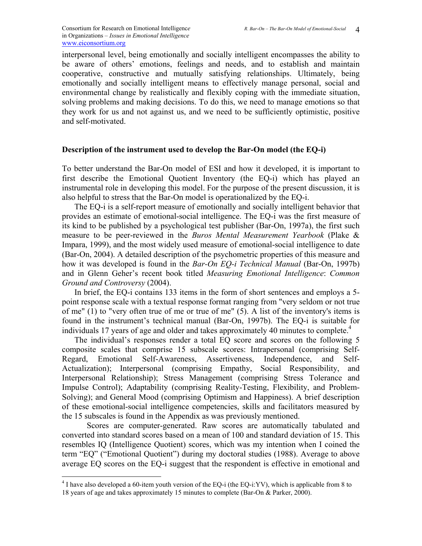interpersonal level, being emotionally and socially intelligent encompasses the ability to be aware of others' emotions, feelings and needs, and to establish and maintain cooperative, constructive and mutually satisfying relationships. Ultimately, being emotionally and socially intelligent means to effectively manage personal, social and environmental change by realistically and flexibly coping with the immediate situation, solving problems and making decisions. To do this, we need to manage emotions so that they work for us and not against us, and we need to be sufficiently optimistic, positive and self-motivated.

### **Description of the instrument used to develop the Bar-On model (the EQ-i)**

To better understand the Bar-On model of ESI and how it developed, it is important to first describe the Emotional Quotient Inventory (the EQ-i) which has played an instrumental role in developing this model. For the purpose of the present discussion, it is also helpful to stress that the Bar-On model is operationalized by the EQ-i.

The EQ-i is a self-report measure of emotionally and socially intelligent behavior that provides an estimate of emotional-social intelligence. The EQ-i was the first measure of its kind to be published by a psychological test publisher (Bar-On, 1997a), the first such measure to be peer-reviewed in the *Buros Mental Measurement Yearbook* (Plake & Impara, 1999), and the most widely used measure of emotional-social intelligence to date (Bar-On, 2004). A detailed description of the psychometric properties of this measure and how it was developed is found in the *Bar-On EQ-i Technical Manual* (Bar-On, 1997b) and in Glenn Geher's recent book titled *Measuring Emotional Intelligence*: *Common Ground and Controversy* (2004).

In brief, the EQ-i contains 133 items in the form of short sentences and employs a 5 point response scale with a textual response format ranging from "very seldom or not true of me" (1) to "very often true of me or true of me" (5). A list of the inventory's items is found in the instrument's technical manual (Bar-On, 1997b). The EQ-i is suitable for individuals 17 years of age and older and takes approximately 40 minutes to complete.<sup>4</sup>

The individual's responses render a total EQ score and scores on the following 5 composite scales that comprise 15 subscale scores: Intrapersonal (comprising Self-Regard, Emotional Self-Awareness, Assertiveness, Independence, and Self-Actualization); Interpersonal (comprising Empathy, Social Responsibility, and Interpersonal Relationship); Stress Management (comprising Stress Tolerance and Impulse Control); Adaptability (comprising Reality-Testing, Flexibility, and Problem-Solving); and General Mood (comprising Optimism and Happiness). A brief description of these emotional-social intelligence competencies, skills and facilitators measured by the 15 subscales is found in the Appendix as was previously mentioned.

Scores are computer-generated. Raw scores are automatically tabulated and converted into standard scores based on a mean of 100 and standard deviation of 15. This resembles IQ (Intelligence Quotient) scores, which was my intention when I coined the term "EQ" ("Emotional Quotient") during my doctoral studies (1988). Average to above average EQ scores on the EQ-i suggest that the respondent is effective in emotional and

 $\frac{4}{4}$  I have also developed a 60-item youth version of the EQ-i (the EQ-i:YV), which is applicable from 8 to 18 years of age and takes approximately 15 minutes to complete (Bar-On & Parker, 2000).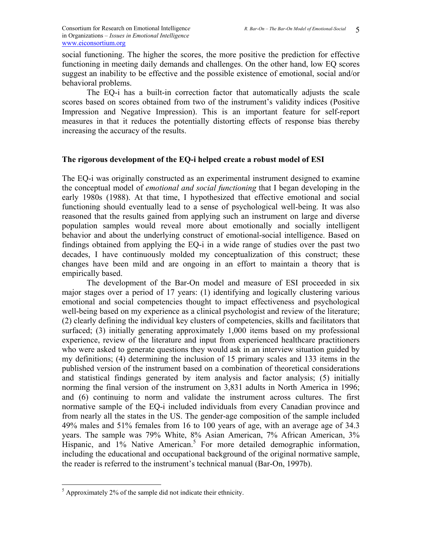social functioning. The higher the scores, the more positive the prediction for effective functioning in meeting daily demands and challenges. On the other hand, low EQ scores suggest an inability to be effective and the possible existence of emotional, social and/or behavioral problems.

The EQ-i has a built-in correction factor that automatically adjusts the scale scores based on scores obtained from two of the instrument's validity indices (Positive Impression and Negative Impression). This is an important feature for self-report measures in that it reduces the potentially distorting effects of response bias thereby increasing the accuracy of the results.

## **The rigorous development of the EQ-i helped create a robust model of ESI**

The EQ-i was originally constructed as an experimental instrument designed to examine the conceptual model of *emotional and social functioning* that I began developing in the early 1980s (1988). At that time, I hypothesized that effective emotional and social functioning should eventually lead to a sense of psychological well-being. It was also reasoned that the results gained from applying such an instrument on large and diverse population samples would reveal more about emotionally and socially intelligent behavior and about the underlying construct of emotional-social intelligence. Based on findings obtained from applying the EQ-i in a wide range of studies over the past two decades, I have continuously molded my conceptualization of this construct; these changes have been mild and are ongoing in an effort to maintain a theory that is empirically based.

The development of the Bar-On model and measure of ESI proceeded in six major stages over a period of 17 years: (1) identifying and logically clustering various emotional and social competencies thought to impact effectiveness and psychological well-being based on my experience as a clinical psychologist and review of the literature; (2) clearly defining the individual key clusters of competencies, skills and facilitators that surfaced; (3) initially generating approximately 1,000 items based on my professional experience, review of the literature and input from experienced healthcare practitioners who were asked to generate questions they would ask in an interview situation guided by my definitions; (4) determining the inclusion of 15 primary scales and 133 items in the published version of the instrument based on a combination of theoretical considerations and statistical findings generated by item analysis and factor analysis; (5) initially norming the final version of the instrument on 3,831 adults in North America in 1996; and (6) continuing to norm and validate the instrument across cultures. The first normative sample of the EQ-i included individuals from every Canadian province and from nearly all the states in the US. The gender-age composition of the sample included 49% males and 51% females from 16 to 100 years of age, with an average age of 34.3 years. The sample was 79% White, 8% Asian American, 7% African American, 3% Hispanic, and 1% Native American.<sup>5</sup> For more detailed demographic information, including the educational and occupational background of the original normative sample, the reader is referred to the instrument's technical manual (Bar-On, 1997b).

<u>.</u>

 $<sup>5</sup>$  Approximately 2% of the sample did not indicate their ethnicity.</sup>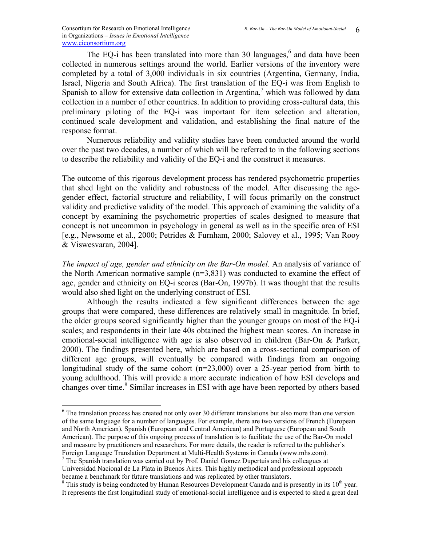$\overline{a}$ 

The EQ-i has been translated into more than 30 languages, $6$  and data have been collected in numerous settings around the world. Earlier versions of the inventory were completed by a total of 3,000 individuals in six countries (Argentina, Germany, India, Israel, Nigeria and South Africa). The first translation of the EQ-i was from English to Spanish to allow for extensive data collection in Argentina,<sup>7</sup> which was followed by data collection in a number of other countries. In addition to providing cross-cultural data, this preliminary piloting of the EQ-i was important for item selection and alteration, continued scale development and validation, and establishing the final nature of the response format.

Numerous reliability and validity studies have been conducted around the world over the past two decades, a number of which will be referred to in the following sections to describe the reliability and validity of the EQ-i and the construct it measures.

The outcome of this rigorous development process has rendered psychometric properties that shed light on the validity and robustness of the model. After discussing the agegender effect, factorial structure and reliability, I will focus primarily on the construct validity and predictive validity of the model. This approach of examining the validity of a concept by examining the psychometric properties of scales designed to measure that concept is not uncommon in psychology in general as well as in the specific area of ESI [e.g., Newsome et al., 2000; Petrides & Furnham, 2000; Salovey et al., 1995; Van Rooy & Viswesvaran, 2004].

*The impact of age, gender and ethnicity on the Bar-On model.* An analysis of variance of the North American normative sample (n=3,831) was conducted to examine the effect of age, gender and ethnicity on EQ-i scores (Bar-On, 1997b). It was thought that the results would also shed light on the underlying construct of ESI.

Although the results indicated a few significant differences between the age groups that were compared, these differences are relatively small in magnitude. In brief, the older groups scored significantly higher than the younger groups on most of the EQ-i scales; and respondents in their late 40s obtained the highest mean scores. An increase in emotional-social intelligence with age is also observed in children (Bar-On & Parker, 2000). The findings presented here, which are based on a cross-sectional comparison of different age groups, will eventually be compared with findings from an ongoing longitudinal study of the same cohort (n=23,000) over a 25-year period from birth to young adulthood. This will provide a more accurate indication of how ESI develops and changes over time.<sup>8</sup> Similar increases in ESI with age have been reported by others based

<sup>7</sup> The Spanish translation was carried out by Prof. Daniel Gomez Dupertuis and his colleagues at Universidad Nacional de La Plata in Buenos Aires. This highly methodical and professional approach became a benchmark for future translations and was replicated by other translators.

<sup>&</sup>lt;sup>6</sup> The translation process has created not only over 30 different translations but also more than one version of the same language for a number of languages. For example, there are two versions of French (European and North American), Spanish (European and Central American) and Portuguese (European and South American). The purpose of this ongoing process of translation is to facilitate the use of the Bar-On model and measure by practitioners and researchers. For more details, the reader is referred to the publisher's Foreign Language Translation Department at Multi-Health Systems in Canada (www.mhs.com). 7

 $8$  This study is being conducted by Human Resources Development Canada and is presently in its  $10<sup>th</sup>$  year. It represents the first longitudinal study of emotional-social intelligence and is expected to shed a great deal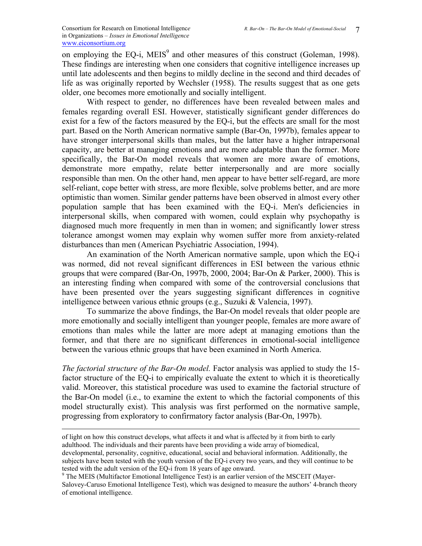on employing the EQ-i,  $MEIS<sup>9</sup>$  and other measures of this construct (Goleman, 1998). These findings are interesting when one considers that cognitive intelligence increases up until late adolescents and then begins to mildly decline in the second and third decades of life as was originally reported by Wechsler (1958). The results suggest that as one gets older, one becomes more emotionally and socially intelligent.

 With respect to gender, no differences have been revealed between males and females regarding overall ESI. However, statistically significant gender differences do exist for a few of the factors measured by the EQ-i, but the effects are small for the most part. Based on the North American normative sample (Bar-On, 1997b), females appear to have stronger interpersonal skills than males, but the latter have a higher intrapersonal capacity, are better at managing emotions and are more adaptable than the former. More specifically, the Bar-On model reveals that women are more aware of emotions, demonstrate more empathy, relate better interpersonally and are more socially responsible than men. On the other hand, men appear to have better self-regard, are more self-reliant, cope better with stress, are more flexible, solve problems better, and are more optimistic than women. Similar gender patterns have been observed in almost every other population sample that has been examined with the EQ-i. Men's deficiencies in interpersonal skills, when compared with women, could explain why psychopathy is diagnosed much more frequently in men than in women; and significantly lower stress tolerance amongst women may explain why women suffer more from anxiety-related disturbances than men (American Psychiatric Association, 1994).

 An examination of the North American normative sample, upon which the EQ-i was normed, did not reveal significant differences in ESI between the various ethnic groups that were compared (Bar-On, 1997b, 2000, 2004; Bar-On & Parker, 2000). This is an interesting finding when compared with some of the controversial conclusions that have been presented over the years suggesting significant differences in cognitive intelligence between various ethnic groups (e.g., Suzuki & Valencia, 1997).

To summarize the above findings, the Bar-On model reveals that older people are more emotionally and socially intelligent than younger people, females are more aware of emotions than males while the latter are more adept at managing emotions than the former, and that there are no significant differences in emotional-social intelligence between the various ethnic groups that have been examined in North America.

*The factorial structure of the Bar-On model.* Factor analysis was applied to study the 15 factor structure of the EQ-i to empirically evaluate the extent to which it is theoretically valid. Moreover, this statistical procedure was used to examine the factorial structure of the Bar-On model (i.e., to examine the extent to which the factorial components of this model structurally exist). This analysis was first performed on the normative sample, progressing from exploratory to confirmatory factor analysis (Bar-On, 1997b).

of light on how this construct develops, what affects it and what is affected by it from birth to early adulthood. The individuals and their parents have been providing a wide array of biomedical, developmental, personality, cognitive, educational, social and behavioral information. Additionally, the subjects have been tested with the youth version of the EQ-i every two years, and they will continue to be tested with the adult version of the EQ-i from 18 years of age onward.

<sup>&</sup>lt;sup>9</sup> The MEIS (Multifactor Emotional Intelligence Test) is an earlier version of the MSCEIT (Mayer-Salovey-Caruso Emotional Intelligence Test), which was designed to measure the authors' 4-branch theory of emotional intelligence.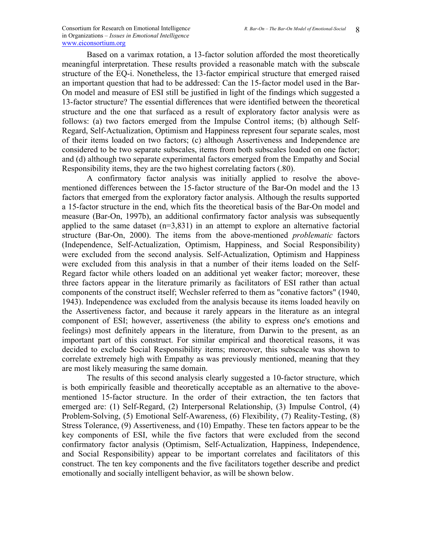Based on a varimax rotation, a 13-factor solution afforded the most theoretically meaningful interpretation. These results provided a reasonable match with the subscale structure of the EQ-i. Nonetheless, the 13-factor empirical structure that emerged raised an important question that had to be addressed: Can the 15-factor model used in the Bar-On model and measure of ESI still be justified in light of the findings which suggested a 13-factor structure? The essential differences that were identified between the theoretical structure and the one that surfaced as a result of exploratory factor analysis were as follows: (a) two factors emerged from the Impulse Control items; (b) although Self-Regard, Self-Actualization, Optimism and Happiness represent four separate scales, most of their items loaded on two factors; (c) although Assertiveness and Independence are considered to be two separate subscales, items from both subscales loaded on one factor; and (d) although two separate experimental factors emerged from the Empathy and Social Responsibility items, they are the two highest correlating factors (.80).

A confirmatory factor analysis was initially applied to resolve the abovementioned differences between the 15-factor structure of the Bar-On model and the 13 factors that emerged from the exploratory factor analysis. Although the results supported a 15-factor structure in the end, which fits the theoretical basis of the Bar-On model and measure (Bar-On, 1997b), an additional confirmatory factor analysis was subsequently applied to the same dataset  $(n=3,831)$  in an attempt to explore an alternative factorial structure (Bar-On, 2000). The items from the above-mentioned *problematic* factors (Independence, Self-Actualization, Optimism, Happiness, and Social Responsibility) were excluded from the second analysis. Self-Actualization, Optimism and Happiness were excluded from this analysis in that a number of their items loaded on the Self-Regard factor while others loaded on an additional yet weaker factor; moreover, these three factors appear in the literature primarily as facilitators of ESI rather than actual components of the construct itself; Wechsler referred to them as "conative factors" (1940, 1943). Independence was excluded from the analysis because its items loaded heavily on the Assertiveness factor, and because it rarely appears in the literature as an integral component of ESI; however, assertiveness (the ability to express one's emotions and feelings) most definitely appears in the literature, from Darwin to the present, as an important part of this construct. For similar empirical and theoretical reasons, it was decided to exclude Social Responsibility items; moreover, this subscale was shown to correlate extremely high with Empathy as was previously mentioned, meaning that they are most likely measuring the same domain.

 The results of this second analysis clearly suggested a 10-factor structure, which is both empirically feasible and theoretically acceptable as an alternative to the abovementioned 15-factor structure. In the order of their extraction, the ten factors that emerged are: (1) Self-Regard, (2) Interpersonal Relationship, (3) Impulse Control, (4) Problem-Solving, (5) Emotional Self-Awareness, (6) Flexibility, (7) Reality-Testing, (8) Stress Tolerance, (9) Assertiveness, and (10) Empathy. These ten factors appear to be the key components of ESI, while the five factors that were excluded from the second confirmatory factor analysis (Optimism, Self-Actualization, Happiness, Independence, and Social Responsibility) appear to be important correlates and facilitators of this construct. The ten key components and the five facilitators together describe and predict emotionally and socially intelligent behavior, as will be shown below.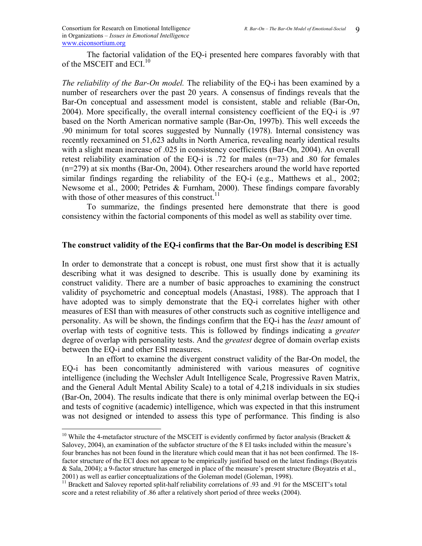$\overline{a}$ 

 The factorial validation of the EQ-i presented here compares favorably with that of the MSCEIT and ECI $^{10}$ 

*The reliability of the Bar-On model.* The reliability of the EQ-i has been examined by a number of researchers over the past 20 years. A consensus of findings reveals that the Bar-On conceptual and assessment model is consistent, stable and reliable (Bar-On, 2004). More specifically, the overall internal consistency coefficient of the EQ-i is .97 based on the North American normative sample (Bar-On, 1997b). This well exceeds the .90 minimum for total scores suggested by Nunnally (1978). Internal consistency was recently reexamined on 51,623 adults in North America, revealing nearly identical results with a slight mean increase of .025 in consistency coefficients (Bar-On, 2004). An overall retest reliability examination of the EQ-i is .72 for males (n=73) and .80 for females (n=279) at six months (Bar-On, 2004). Other researchers around the world have reported similar findings regarding the reliability of the EQ-i (e.g., Matthews et al., 2002; Newsome et al., 2000; Petrides & Furnham, 2000). These findings compare favorably with those of other measures of this construct. $^{11}$ 

To summarize, the findings presented here demonstrate that there is good consistency within the factorial components of this model as well as stability over time.

## **The construct validity of the EQ-i confirms that the Bar-On model is describing ESI**

In order to demonstrate that a concept is robust, one must first show that it is actually describing what it was designed to describe. This is usually done by examining its construct validity. There are a number of basic approaches to examining the construct validity of psychometric and conceptual models (Anastasi, 1988). The approach that I have adopted was to simply demonstrate that the EQ-i correlates higher with other measures of ESI than with measures of other constructs such as cognitive intelligence and personality. As will be shown, the findings confirm that the EQ-i has the *least* amount of overlap with tests of cognitive tests. This is followed by findings indicating a *greater* degree of overlap with personality tests. And the *greatest* degree of domain overlap exists between the EQ-i and other ESI measures.

In an effort to examine the divergent construct validity of the Bar-On model, the EQ-i has been concomitantly administered with various measures of cognitive intelligence (including the Wechsler Adult Intelligence Scale, Progressive Raven Matrix, and the General Adult Mental Ability Scale) to a total of 4,218 individuals in six studies (Bar-On, 2004). The results indicate that there is only minimal overlap between the EQ-i and tests of cognitive (academic) intelligence, which was expected in that this instrument was not designed or intended to assess this type of performance. This finding is also

<sup>&</sup>lt;sup>10</sup> While the 4-metafactor structure of the MSCEIT is evidently confirmed by factor analysis (Brackett  $\&$ Salovey, 2004), an examination of the subfactor structure of the 8 EI tasks included within the measure's four branches has not been found in the literature which could mean that it has not been confirmed. The 18 factor structure of the ECI does not appear to be empirically justified based on the latest findings (Boyatzis & Sala, 2004); a 9-factor structure has emerged in place of the measure's present structure (Boyatzis et al.,

<sup>2001)</sup> as well as earlier conceptualizations of the Goleman model (Goleman, 1998).  $11$  Brackett and Salovey reported split-half reliability correlations of .93 and .91 for the MSCEIT's total score and a retest reliability of .86 after a relatively short period of three weeks (2004).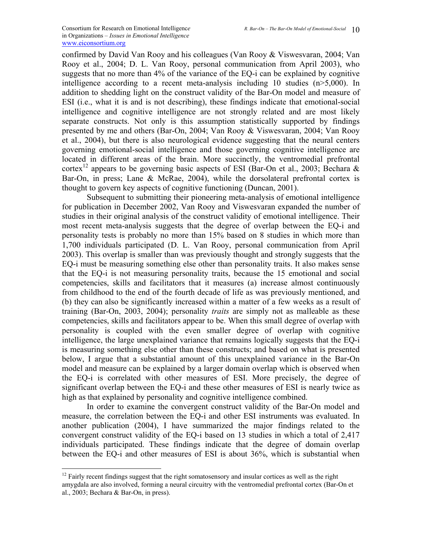confirmed by David Van Rooy and his colleagues (Van Rooy & Viswesvaran, 2004; Van Rooy et al., 2004; D. L. Van Rooy, personal communication from April 2003), who suggests that no more than 4% of the variance of the EQ-i can be explained by cognitive intelligence according to a recent meta-analysis including 10 studies (n>5,000). In addition to shedding light on the construct validity of the Bar-On model and measure of ESI (i.e., what it is and is not describing), these findings indicate that emotional-social intelligence and cognitive intelligence are not strongly related and are most likely separate constructs. Not only is this assumption statistically supported by findings presented by me and others (Bar-On, 2004; Van Rooy & Viswesvaran, 2004; Van Rooy et al., 2004), but there is also neurological evidence suggesting that the neural centers governing emotional-social intelligence and those governing cognitive intelligence are located in different areas of the brain. More succinctly, the ventromedial prefrontal cortex<sup>12</sup> appears to be governing basic aspects of ESI (Bar-On et al., 2003; Bechara  $\&$ Bar-On, in press; Lane & McRae, 2004), while the dorsolateral prefrontal cortex is thought to govern key aspects of cognitive functioning (Duncan, 2001).

Subsequent to submitting their pioneering meta-analysis of emotional intelligence for publication in December 2002, Van Rooy and Viswesvaran expanded the number of studies in their original analysis of the construct validity of emotional intelligence. Their most recent meta-analysis suggests that the degree of overlap between the EQ-i and personality tests is probably no more than 15% based on 8 studies in which more than 1,700 individuals participated (D. L. Van Rooy, personal communication from April 2003). This overlap is smaller than was previously thought and strongly suggests that the EQ-i must be measuring something else other than personality traits. It also makes sense that the EQ-i is not measuring personality traits, because the 15 emotional and social competencies, skills and facilitators that it measures (a) increase almost continuously from childhood to the end of the fourth decade of life as was previously mentioned, and (b) they can also be significantly increased within a matter of a few weeks as a result of training (Bar-On, 2003, 2004); personality *traits* are simply not as malleable as these competencies, skills and facilitators appear to be. When this small degree of overlap with personality is coupled with the even smaller degree of overlap with cognitive intelligence, the large unexplained variance that remains logically suggests that the EQ-i is measuring something else other than these constructs; and based on what is presented below, I argue that a substantial amount of this unexplained variance in the Bar-On model and measure can be explained by a larger domain overlap which is observed when the EQ-i is correlated with other measures of ESI. More precisely, the degree of significant overlap between the EQ-i and these other measures of ESI is nearly twice as high as that explained by personality and cognitive intelligence combined.

In order to examine the convergent construct validity of the Bar-On model and measure, the correlation between the EQ-i and other ESI instruments was evaluated. In another publication (2004), I have summarized the major findings related to the convergent construct validity of the EQ-i based on 13 studies in which a total of 2,417 individuals participated. These findings indicate that the degree of domain overlap between the EQ-i and other measures of ESI is about 36%, which is substantial when

1

<sup>&</sup>lt;sup>12</sup> Fairly recent findings suggest that the right somatosensory and insular cortices as well as the right amygdala are also involved, forming a neural circuitry with the ventromedial prefrontal cortex (Bar-On et al., 2003; Bechara & Bar-On, in press).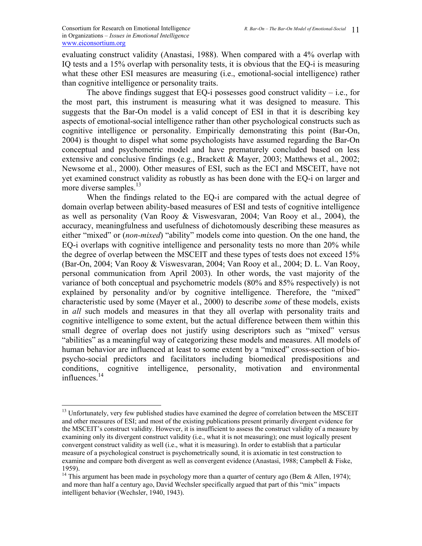$\overline{a}$ 

evaluating construct validity (Anastasi, 1988). When compared with a 4% overlap with IQ tests and a 15% overlap with personality tests, it is obvious that the EQ-i is measuring what these other ESI measures are measuring (i.e., emotional-social intelligence) rather than cognitive intelligence or personality traits.

The above findings suggest that EQ-i possesses good construct validity  $-$  i.e., for the most part, this instrument is measuring what it was designed to measure. This suggests that the Bar-On model is a valid concept of ESI in that it is describing key aspects of emotional-social intelligence rather than other psychological constructs such as cognitive intelligence or personality. Empirically demonstrating this point (Bar-On, 2004) is thought to dispel what some psychologists have assumed regarding the Bar-On conceptual and psychometric model and have prematurely concluded based on less extensive and conclusive findings (e.g., Brackett & Mayer, 2003; Matthews et al., 2002; Newsome et al., 2000). Other measures of ESI, such as the ECI and MSCEIT, have not yet examined construct validity as robustly as has been done with the EQ-i on larger and more diverse samples.<sup>13</sup>

When the findings related to the EQ-i are compared with the actual degree of domain overlap between ability-based measures of ESI and tests of cognitive intelligence as well as personality (Van Rooy & Viswesvaran, 2004; Van Rooy et al., 2004), the accuracy, meaningfulness and usefulness of dichotomously describing these measures as either "mixed" or (*non-mixed*) "ability" models come into question. On the one hand, the EQ-i overlaps with cognitive intelligence and personality tests no more than 20% while the degree of overlap between the MSCEIT and these types of tests does not exceed 15% (Bar-On, 2004; Van Rooy & Viswesvaran, 2004; Van Rooy et al., 2004; D. L. Van Rooy, personal communication from April 2003). In other words, the vast majority of the variance of both conceptual and psychometric models (80% and 85% respectively) is not explained by personality and/or by cognitive intelligence. Therefore, the "mixed" characteristic used by some (Mayer et al., 2000) to describe *some* of these models, exists in *all* such models and measures in that they all overlap with personality traits and cognitive intelligence to some extent, but the actual difference between them within this small degree of overlap does not justify using descriptors such as "mixed" versus "abilities" as a meaningful way of categorizing these models and measures. All models of human behavior are influenced at least to some extent by a "mixed" cross-section of biopsycho-social predictors and facilitators including biomedical predispositions and conditions, cognitive intelligence, personality, motivation and environmental influences.<sup>14</sup>

<sup>&</sup>lt;sup>13</sup> Unfortunately, very few published studies have examined the degree of correlation between the MSCEIT and other measures of ESI; and most of the existing publications present primarily divergent evidence for the MSCEIT's construct validity. However, it is insufficient to assess the construct validity of a measure by examining only its divergent construct validity (i.e., what it is not measuring); one must logically present convergent construct validity as well (i.e., what it is measuring). In order to establish that a particular measure of a psychological construct is psychometrically sound, it is axiomatic in test construction to examine and compare both divergent as well as convergent evidence (Anastasi, 1988; Campbell & Fiske, 1959).

<sup>&</sup>lt;sup>14</sup> This argument has been made in psychology more than a quarter of century ago (Bem & Allen, 1974); and more than half a century ago, David Wechsler specifically argued that part of this "mix" impacts intelligent behavior (Wechsler, 1940, 1943).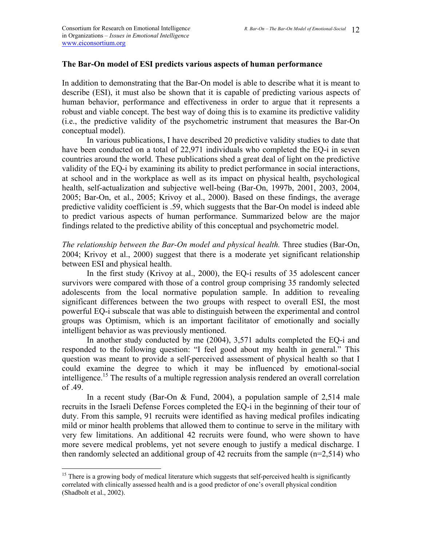## **The Bar-On model of ESI predicts various aspects of human performance**

In addition to demonstrating that the Bar-On model is able to describe what it is meant to describe (ESI), it must also be shown that it is capable of predicting various aspects of human behavior, performance and effectiveness in order to argue that it represents a robust and viable concept. The best way of doing this is to examine its predictive validity (i.e., the predictive validity of the psychometric instrument that measures the Bar-On conceptual model).

In various publications, I have described 20 predictive validity studies to date that have been conducted on a total of 22,971 individuals who completed the EQ-i in seven countries around the world. These publications shed a great deal of light on the predictive validity of the EQ-i by examining its ability to predict performance in social interactions, at school and in the workplace as well as its impact on physical health, psychological health, self-actualization and subjective well-being (Bar-On, 1997b, 2001, 2003, 2004, 2005; Bar-On, et al., 2005; Krivoy et al., 2000). Based on these findings, the average predictive validity coefficient is .59, which suggests that the Bar-On model is indeed able to predict various aspects of human performance. Summarized below are the major findings related to the predictive ability of this conceptual and psychometric model.

*The relationship between the Bar-On model and physical health. Three studies (Bar-On,* 2004; Krivoy et al., 2000) suggest that there is a moderate yet significant relationship between ESI and physical health.

In the first study (Krivoy at al., 2000), the EQ-i results of 35 adolescent cancer survivors were compared with those of a control group comprising 35 randomly selected adolescents from the local normative population sample. In addition to revealing significant differences between the two groups with respect to overall ESI, the most powerful EQ-i subscale that was able to distinguish between the experimental and control groups was Optimism, which is an important facilitator of emotionally and socially intelligent behavior as was previously mentioned.

In another study conducted by me (2004), 3,571 adults completed the EQ-i and responded to the following question: "I feel good about my health in general." This question was meant to provide a self-perceived assessment of physical health so that I could examine the degree to which it may be influenced by emotional-social intelligence.<sup>15</sup> The results of a multiple regression analysis rendered an overall correlation of .49.

In a recent study (Bar-On & Fund, 2004), a population sample of 2,514 male recruits in the Israeli Defense Forces completed the EQ-i in the beginning of their tour of duty. From this sample, 91 recruits were identified as having medical profiles indicating mild or minor health problems that allowed them to continue to serve in the military with very few limitations. An additional 42 recruits were found, who were shown to have more severe medical problems, yet not severe enough to justify a medical discharge. I then randomly selected an additional group of 42 recruits from the sample (n=2,514) who

1

<sup>&</sup>lt;sup>15</sup> There is a growing body of medical literature which suggests that self-perceived health is significantly correlated with clinically assessed health and is a good predictor of one's overall physical condition (Shadbolt et al., 2002).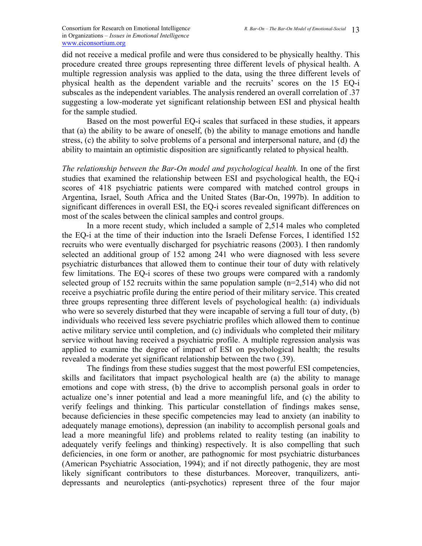did not receive a medical profile and were thus considered to be physically healthy. This procedure created three groups representing three different levels of physical health. A multiple regression analysis was applied to the data, using the three different levels of physical health as the dependent variable and the recruits' scores on the 15 EQ-i subscales as the independent variables. The analysis rendered an overall correlation of .37 suggesting a low-moderate yet significant relationship between ESI and physical health for the sample studied.

Based on the most powerful EQ-i scales that surfaced in these studies, it appears that (a) the ability to be aware of oneself, (b) the ability to manage emotions and handle stress, (c) the ability to solve problems of a personal and interpersonal nature, and (d) the ability to maintain an optimistic disposition are significantly related to physical health.

*The relationship between the Bar-On model and psychological health.* In one of the first studies that examined the relationship between ESI and psychological health, the EQ-i scores of 418 psychiatric patients were compared with matched control groups in Argentina, Israel, South Africa and the United States (Bar-On, 1997b). In addition to significant differences in overall ESI, the EQ-i scores revealed significant differences on most of the scales between the clinical samples and control groups.

In a more recent study, which included a sample of 2,514 males who completed the EQ-i at the time of their induction into the Israeli Defense Forces, I identified 152 recruits who were eventually discharged for psychiatric reasons (2003). I then randomly selected an additional group of 152 among 241 who were diagnosed with less severe psychiatric disturbances that allowed them to continue their tour of duty with relatively few limitations. The EQ-i scores of these two groups were compared with a randomly selected group of 152 recruits within the same population sample (n=2,514) who did not receive a psychiatric profile during the entire period of their military service. This created three groups representing three different levels of psychological health: (a) individuals who were so severely disturbed that they were incapable of serving a full tour of duty, (b) individuals who received less severe psychiatric profiles which allowed them to continue active military service until completion, and (c) individuals who completed their military service without having received a psychiatric profile. A multiple regression analysis was applied to examine the degree of impact of ESI on psychological health; the results revealed a moderate yet significant relationship between the two (.39).

The findings from these studies suggest that the most powerful ESI competencies, skills and facilitators that impact psychological health are (a) the ability to manage emotions and cope with stress, (b) the drive to accomplish personal goals in order to actualize one's inner potential and lead a more meaningful life, and (c) the ability to verify feelings and thinking. This particular constellation of findings makes sense, because deficiencies in these specific competencies may lead to anxiety (an inability to adequately manage emotions), depression (an inability to accomplish personal goals and lead a more meaningful life) and problems related to reality testing (an inability to adequately verify feelings and thinking) respectively. It is also compelling that such deficiencies, in one form or another, are pathognomic for most psychiatric disturbances (American Psychiatric Association, 1994); and if not directly pathogenic, they are most likely significant contributors to these disturbances. Moreover, tranquilizers, antidepressants and neuroleptics (anti-psychotics) represent three of the four major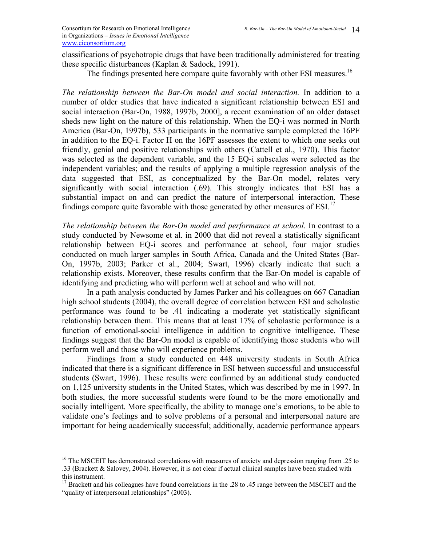1

classifications of psychotropic drugs that have been traditionally administered for treating these specific disturbances (Kaplan & Sadock, 1991).

The findings presented here compare quite favorably with other ESI measures.<sup>16</sup>

*The relationship between the Bar-On model and social interaction.* In addition to a number of older studies that have indicated a significant relationship between ESI and social interaction (Bar-On, 1988, 1997b, 2000], a recent examination of an older dataset sheds new light on the nature of this relationship. When the EQ-i was normed in North America (Bar-On, 1997b), 533 participants in the normative sample completed the 16PF in addition to the EQ-i. Factor H on the 16PF assesses the extent to which one seeks out friendly, genial and positive relationships with others (Cattell et al., 1970). This factor was selected as the dependent variable, and the 15 EQ-i subscales were selected as the independent variables; and the results of applying a multiple regression analysis of the data suggested that ESI, as conceptualized by the Bar-On model, relates very significantly with social interaction (.69). This strongly indicates that ESI has a substantial impact on and can predict the nature of interpersonal interaction. These findings compare quite favorable with those generated by other measures of  $ESI<sup>17</sup>$ 

*The relationship between the Bar-On model and performance at school.* In contrast to a study conducted by Newsome et al. in 2000 that did not reveal a statistically significant relationship between EQ-i scores and performance at school, four major studies conducted on much larger samples in South Africa, Canada and the United States (Bar-On, 1997b, 2003; Parker et al., 2004; Swart, 1996) clearly indicate that such a relationship exists. Moreover, these results confirm that the Bar-On model is capable of identifying and predicting who will perform well at school and who will not.

In a path analysis conducted by James Parker and his colleagues on 667 Canadian high school students (2004), the overall degree of correlation between ESI and scholastic performance was found to be .41 indicating a moderate yet statistically significant relationship between them. This means that at least 17% of scholastic performance is a function of emotional-social intelligence in addition to cognitive intelligence. These findings suggest that the Bar-On model is capable of identifying those students who will perform well and those who will experience problems.

Findings from a study conducted on 448 university students in South Africa indicated that there is a significant difference in ESI between successful and unsuccessful students (Swart, 1996). These results were confirmed by an additional study conducted on 1,125 university students in the United States, which was described by me in 1997. In both studies, the more successful students were found to be the more emotionally and socially intelligent. More specifically, the ability to manage one's emotions, to be able to validate one's feelings and to solve problems of a personal and interpersonal nature are important for being academically successful; additionally, academic performance appears

<sup>&</sup>lt;sup>16</sup> The MSCEIT has demonstrated correlations with measures of anxiety and depression ranging from .25 to .33 (Brackett & Salovey, 2004). However, it is not clear if actual clinical samples have been studied with this instrument.

<sup>&</sup>lt;sup>17</sup> Brackett and his colleagues have found correlations in the .28 to .45 range between the MSCEIT and the "quality of interpersonal relationships" (2003).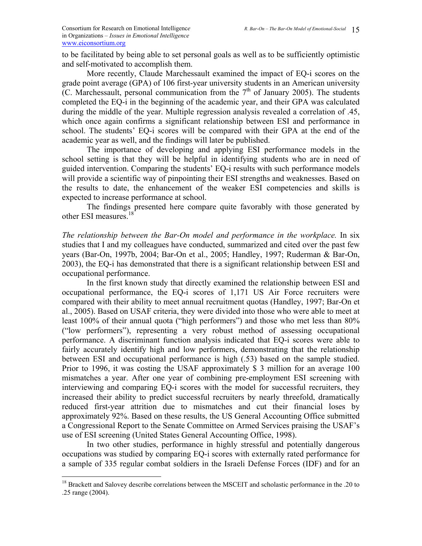to be facilitated by being able to set personal goals as well as to be sufficiently optimistic and self-motivated to accomplish them.

More recently, Claude Marchessault examined the impact of EQ-i scores on the grade point average (GPA) of 106 first-year university students in an American university (C. Marchessault, personal communication from the  $7<sup>th</sup>$  of January 2005). The students completed the EQ-i in the beginning of the academic year, and their GPA was calculated during the middle of the year. Multiple regression analysis revealed a correlation of .45, which once again confirms a significant relationship between ESI and performance in school. The students' EQ-i scores will be compared with their GPA at the end of the academic year as well, and the findings will later be published.

The importance of developing and applying ESI performance models in the school setting is that they will be helpful in identifying students who are in need of guided intervention. Comparing the students' EQ-i results with such performance models will provide a scientific way of pinpointing their ESI strengths and weaknesses. Based on the results to date, the enhancement of the weaker ESI competencies and skills is expected to increase performance at school.

The findings presented here compare quite favorably with those generated by other ESI measures.<sup>18</sup>

*The relationship between the Bar-On model and performance in the workplace.* In six studies that I and my colleagues have conducted, summarized and cited over the past few years (Bar-On, 1997b, 2004; Bar-On et al., 2005; Handley, 1997; Ruderman & Bar-On, 2003), the EQ-i has demonstrated that there is a significant relationship between ESI and occupational performance.

 In the first known study that directly examined the relationship between ESI and occupational performance, the EQ-i scores of 1,171 US Air Force recruiters were compared with their ability to meet annual recruitment quotas (Handley, 1997; Bar-On et al., 2005). Based on USAF criteria, they were divided into those who were able to meet at least 100% of their annual quota ("high performers") and those who met less than 80% ("low performers"), representing a very robust method of assessing occupational performance. A discriminant function analysis indicated that EQ-i scores were able to fairly accurately identify high and low performers, demonstrating that the relationship between ESI and occupational performance is high (.53) based on the sample studied. Prior to 1996, it was costing the USAF approximately \$ 3 million for an average 100 mismatches a year. After one year of combining pre-employment ESI screening with interviewing and comparing EQ-i scores with the model for successful recruiters, they increased their ability to predict successful recruiters by nearly threefold, dramatically reduced first-year attrition due to mismatches and cut their financial loses by approximately 92%. Based on these results, the US General Accounting Office submitted a Congressional Report to the Senate Committee on Armed Services praising the USAF's use of ESI screening (United States General Accounting Office, 1998).

 In two other studies, performance in highly stressful and potentially dangerous occupations was studied by comparing EQ-i scores with externally rated performance for a sample of 335 regular combat soldiers in the Israeli Defense Forces (IDF) and for an

1

<sup>&</sup>lt;sup>18</sup> Brackett and Salovey describe correlations between the MSCEIT and scholastic performance in the .20 to .25 range (2004).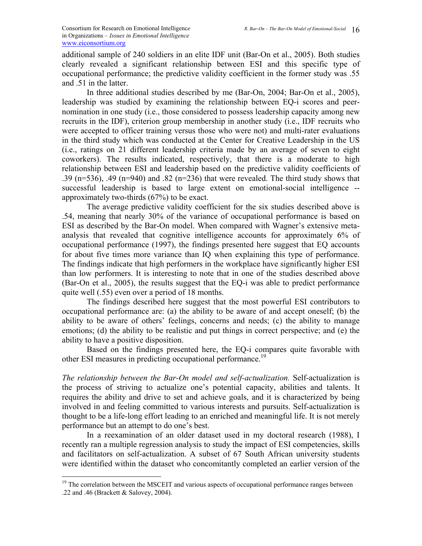additional sample of 240 soldiers in an elite IDF unit (Bar-On et al., 2005). Both studies clearly revealed a significant relationship between ESI and this specific type of occupational performance; the predictive validity coefficient in the former study was .55 and .51 in the latter.

 In three additional studies described by me (Bar-On, 2004; Bar-On et al., 2005), leadership was studied by examining the relationship between EQ-i scores and peernomination in one study (i.e., those considered to possess leadership capacity among new recruits in the IDF), criterion group membership in another study (i.e., IDF recruits who were accepted to officer training versus those who were not) and multi-rater evaluations in the third study which was conducted at the Center for Creative Leadership in the US (i.e., ratings on 21 different leadership criteria made by an average of seven to eight coworkers). The results indicated, respectively, that there is a moderate to high relationship between ESI and leadership based on the predictive validity coefficients of .39 (n=536), .49 (n=940) and .82 (n=236) that were revealed. The third study shows that successful leadership is based to large extent on emotional-social intelligence - approximately two-thirds (67%) to be exact.

The average predictive validity coefficient for the six studies described above is .54, meaning that nearly 30% of the variance of occupational performance is based on ESI as described by the Bar-On model. When compared with Wagner's extensive metaanalysis that revealed that cognitive intelligence accounts for approximately 6% of occupational performance (1997), the findings presented here suggest that EQ accounts for about five times more variance than IQ when explaining this type of performance. The findings indicate that high performers in the workplace have significantly higher ESI than low performers. It is interesting to note that in one of the studies described above (Bar-On et al., 2005), the results suggest that the EQ-i was able to predict performance quite well (.55) even over a period of 18 months.

The findings described here suggest that the most powerful ESI contributors to occupational performance are: (a) the ability to be aware of and accept oneself; (b) the ability to be aware of others' feelings, concerns and needs; (c) the ability to manage emotions; (d) the ability to be realistic and put things in correct perspective; and (e) the ability to have a positive disposition.

 Based on the findings presented here, the EQ-i compares quite favorable with other ESI measures in predicting occupational performance.<sup>19</sup>

*The relationship between the Bar-On model and self-actualization.* Self-actualization is the process of striving to actualize one's potential capacity, abilities and talents. It requires the ability and drive to set and achieve goals, and it is characterized by being involved in and feeling committed to various interests and pursuits. Self-actualization is thought to be a life-long effort leading to an enriched and meaningful life. It is not merely performance but an attempt to do one's best.

 In a reexamination of an older dataset used in my doctoral research (1988), I recently ran a multiple regression analysis to study the impact of ESI competencies, skills and facilitators on self-actualization. A subset of 67 South African university students were identified within the dataset who concomitantly completed an earlier version of the

 $\overline{a}$ 

 $19$  The correlation between the MSCEIT and various aspects of occupational performance ranges between .22 and .46 (Brackett & Salovey, 2004).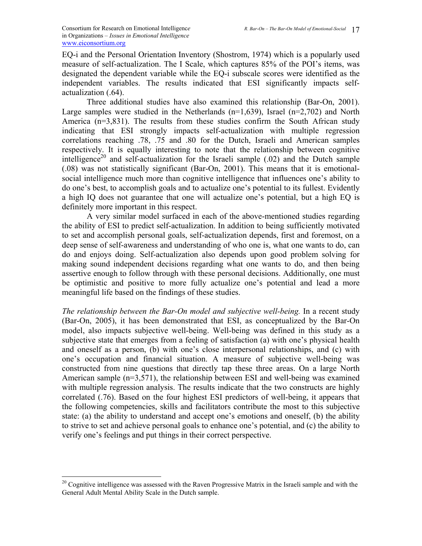EQ-i and the Personal Orientation Inventory (Shostrom, 1974) which is a popularly used measure of self-actualization. The I Scale, which captures 85% of the POI's items, was designated the dependent variable while the EQ-i subscale scores were identified as the independent variables. The results indicated that ESI significantly impacts selfactualization (.64).

Three additional studies have also examined this relationship (Bar-On, 2001). Large samples were studied in the Netherlands  $(n=1,639)$ , Israel  $(n=2,702)$  and North America (n=3,831). The results from these studies confirm the South African study indicating that ESI strongly impacts self-actualization with multiple regression correlations reaching .78, .75 and .80 for the Dutch, Israeli and American samples respectively. It is equally interesting to note that the relationship between cognitive intelligence<sup>20</sup> and self-actualization for the Israeli sample  $(.02)$  and the Dutch sample (.08) was not statistically significant (Bar-On, 2001). This means that it is emotionalsocial intelligence much more than cognitive intelligence that influences one's ability to do one's best, to accomplish goals and to actualize one's potential to its fullest. Evidently a high IQ does not guarantee that one will actualize one's potential, but a high EQ is definitely more important in this respect.

A very similar model surfaced in each of the above-mentioned studies regarding the ability of ESI to predict self-actualization. In addition to being sufficiently motivated to set and accomplish personal goals, self-actualization depends, first and foremost, on a deep sense of self-awareness and understanding of who one is, what one wants to do, can do and enjoys doing. Self-actualization also depends upon good problem solving for making sound independent decisions regarding what one wants to do, and then being assertive enough to follow through with these personal decisions. Additionally, one must be optimistic and positive to more fully actualize one's potential and lead a more meaningful life based on the findings of these studies.

*The relationship between the Bar-On model and subjective well-being.* In a recent study (Bar-On, 2005), it has been demonstrated that ESI, as conceptualized by the Bar-On model, also impacts subjective well-being. Well-being was defined in this study as a subjective state that emerges from a feeling of satisfaction (a) with one's physical health and oneself as a person, (b) with one's close interpersonal relationships, and (c) with one's occupation and financial situation. A measure of subjective well-being was constructed from nine questions that directly tap these three areas. On a large North American sample  $(n=3,571)$ , the relationship between ESI and well-being was examined with multiple regression analysis. The results indicate that the two constructs are highly correlated (.76). Based on the four highest ESI predictors of well-being, it appears that the following competencies, skills and facilitators contribute the most to this subjective state: (a) the ability to understand and accept one's emotions and oneself, (b) the ability to strive to set and achieve personal goals to enhance one's potential, and (c) the ability to verify one's feelings and put things in their correct perspective.

 $\overline{a}$ 

<sup>&</sup>lt;sup>20</sup> Cognitive intelligence was assessed with the Raven Progressive Matrix in the Israeli sample and with the General Adult Mental Ability Scale in the Dutch sample.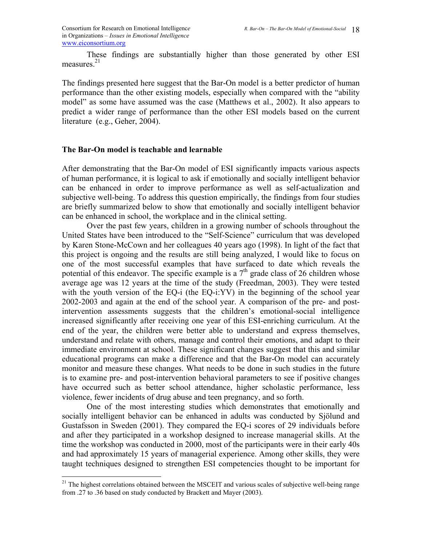Consortium for Research on Emotional Intelligence in Organizations *– Issues in Emotional Intelligence* www.eiconsortium.org

 These findings are substantially higher than those generated by other ESI measures $21$ 

The findings presented here suggest that the Bar-On model is a better predictor of human performance than the other existing models, especially when compared with the "ability model" as some have assumed was the case (Matthews et al., 2002). It also appears to predict a wider range of performance than the other ESI models based on the current literature (e.g., Geher, 2004).

### **The Bar-On model is teachable and learnable**

 $\overline{a}$ 

After demonstrating that the Bar-On model of ESI significantly impacts various aspects of human performance, it is logical to ask if emotionally and socially intelligent behavior can be enhanced in order to improve performance as well as self-actualization and subjective well-being. To address this question empirically, the findings from four studies are briefly summarized below to show that emotionally and socially intelligent behavior can be enhanced in school, the workplace and in the clinical setting.

Over the past few years, children in a growing number of schools throughout the United States have been introduced to the "Self-Science" curriculum that was developed by Karen Stone-McCown and her colleagues 40 years ago (1998). In light of the fact that this project is ongoing and the results are still being analyzed, I would like to focus on one of the most successful examples that have surfaced to date which reveals the potential of this endeavor. The specific example is a  $7<sup>th</sup>$  grade class of 26 children whose average age was 12 years at the time of the study (Freedman, 2003). They were tested with the youth version of the EQ-i (the EQ-i:YV) in the beginning of the school year 2002-2003 and again at the end of the school year. A comparison of the pre- and postintervention assessments suggests that the children's emotional-social intelligence increased significantly after receiving one year of this ESI-enriching curriculum. At the end of the year, the children were better able to understand and express themselves, understand and relate with others, manage and control their emotions, and adapt to their immediate environment at school. These significant changes suggest that this and similar educational programs can make a difference and that the Bar-On model can accurately monitor and measure these changes. What needs to be done in such studies in the future is to examine pre- and post-intervention behavioral parameters to see if positive changes have occurred such as better school attendance, higher scholastic performance, less violence, fewer incidents of drug abuse and teen pregnancy, and so forth.

 One of the most interesting studies which demonstrates that emotionally and socially intelligent behavior can be enhanced in adults was conducted by Sjölund and Gustafsson in Sweden (2001). They compared the EQ-i scores of 29 individuals before and after they participated in a workshop designed to increase managerial skills. At the time the workshop was conducted in 2000, most of the participants were in their early 40s and had approximately 15 years of managerial experience. Among other skills, they were taught techniques designed to strengthen ESI competencies thought to be important for

 $21$  The highest correlations obtained between the MSCEIT and various scales of subjective well-being range from .27 to .36 based on study conducted by Brackett and Mayer (2003).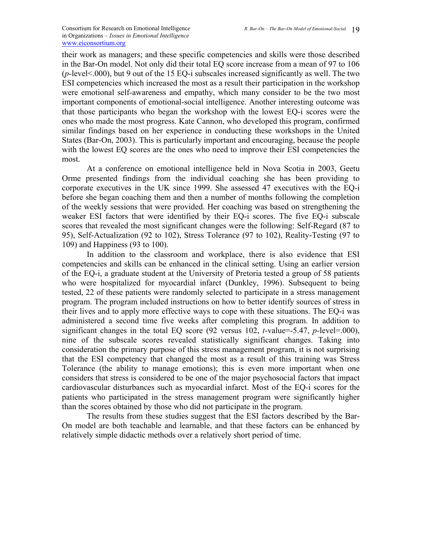their work as managers; and these specific competencies and skills were those described in the Bar-On model. Not only did their total EQ score increase from a mean of 97 to 106 (*p*-level<.000), but 9 out of the 15 EQ-i subscales increased significantly as well. The two ESI competencies which increased the most as a result their participation in the workshop were emotional self-awareness and empathy, which many consider to be the two most important components of emotional-social intelligence. Another interesting outcome was that those participants who began the workshop with the lowest EQ-i scores were the ones who made the most progress. Kate Cannon, who developed this program, confirmed similar findings based on her experience in conducting these workshops in the United States (Bar-On, 2003). This is particularly important and encouraging, because the people with the lowest EQ scores are the ones who need to improve their ESI competencies the most.

 At a conference on emotional intelligence held in Nova Scotia in 2003, Geetu Orme presented findings from the individual coaching she has been providing to corporate executives in the UK since 1999. She assessed 47 executives with the EQ-i before she began coaching them and then a number of months following the completion of the weekly sessions that were provided. Her coaching was based on strengthening the weaker ESI factors that were identified by their EQ-i scores. The five EQ-i subscale scores that revealed the most significant changes were the following: Self-Regard (87 to 95), Self-Actualization (92 to 102), Stress Tolerance (97 to 102), Reality-Testing (97 to 109) and Happiness (93 to 100).

In addition to the classroom and workplace, there is also evidence that ESI competencies and skills can be enhanced in the clinical setting. Using an earlier version of the EQ-i, a graduate student at the University of Pretoria tested a group of 58 patients who were hospitalized for myocardial infarct (Dunkley, 1996). Subsequent to being tested, 22 of these patients were randomly selected to participate in a stress management program. The program included instructions on how to better identify sources of stress in their lives and to apply more effective ways to cope with these situations. The EQ-i was administered a second time five weeks after completing this program. In addition to significant changes in the total EQ score (92 versus 102, *t*-value=-5.47, *p*-level=.000), nine of the subscale scores revealed statistically significant changes. Taking into consideration the primary purpose of this stress management program, it is not surprising that the ESI competency that changed the most as a result of this training was Stress Tolerance (the ability to manage emotions); this is even more important when one considers that stress is considered to be one of the major psychosocial factors that impact cardiovascular disturbances such as myocardial infarct. Most of the EQ-i scores for the patients who participated in the stress management program were significantly higher than the scores obtained by those who did not participate in the program.

The results from these studies suggest that the ESI factors described by the Bar-On model are both teachable and learnable, and that these factors can be enhanced by relatively simple didactic methods over a relatively short period of time.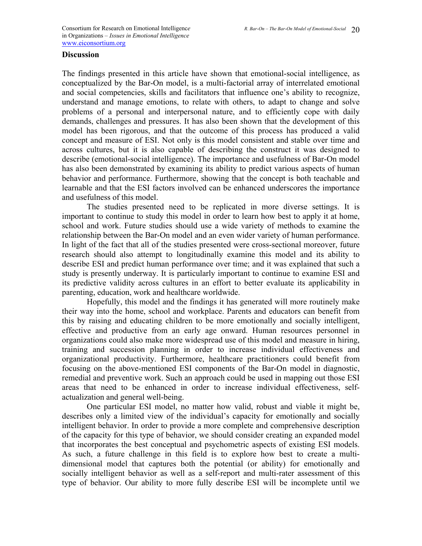## **Discussion**

The findings presented in this article have shown that emotional-social intelligence, as conceptualized by the Bar-On model, is a multi-factorial array of interrelated emotional and social competencies, skills and facilitators that influence one's ability to recognize, understand and manage emotions, to relate with others, to adapt to change and solve problems of a personal and interpersonal nature, and to efficiently cope with daily demands, challenges and pressures. It has also been shown that the development of this model has been rigorous, and that the outcome of this process has produced a valid concept and measure of ESI. Not only is this model consistent and stable over time and across cultures, but it is also capable of describing the construct it was designed to describe (emotional-social intelligence). The importance and usefulness of Bar-On model has also been demonstrated by examining its ability to predict various aspects of human behavior and performance. Furthermore, showing that the concept is both teachable and learnable and that the ESI factors involved can be enhanced underscores the importance and usefulness of this model.

The studies presented need to be replicated in more diverse settings. It is important to continue to study this model in order to learn how best to apply it at home, school and work. Future studies should use a wide variety of methods to examine the relationship between the Bar-On model and an even wider variety of human performance. In light of the fact that all of the studies presented were cross-sectional moreover, future research should also attempt to longitudinally examine this model and its ability to describe ESI and predict human performance over time; and it was explained that such a study is presently underway. It is particularly important to continue to examine ESI and its predictive validity across cultures in an effort to better evaluate its applicability in parenting, education, work and healthcare worldwide.

Hopefully, this model and the findings it has generated will more routinely make their way into the home, school and workplace. Parents and educators can benefit from this by raising and educating children to be more emotionally and socially intelligent, effective and productive from an early age onward. Human resources personnel in organizations could also make more widespread use of this model and measure in hiring, training and succession planning in order to increase individual effectiveness and organizational productivity. Furthermore, healthcare practitioners could benefit from focusing on the above-mentioned ESI components of the Bar-On model in diagnostic, remedial and preventive work. Such an approach could be used in mapping out those ESI areas that need to be enhanced in order to increase individual effectiveness, selfactualization and general well-being.

One particular ESI model, no matter how valid, robust and viable it might be, describes only a limited view of the individual's capacity for emotionally and socially intelligent behavior. In order to provide a more complete and comprehensive description of the capacity for this type of behavior, we should consider creating an expanded model that incorporates the best conceptual and psychometric aspects of existing ESI models. As such, a future challenge in this field is to explore how best to create a multidimensional model that captures both the potential (or ability) for emotionally and socially intelligent behavior as well as a self-report and multi-rater assessment of this type of behavior. Our ability to more fully describe ESI will be incomplete until we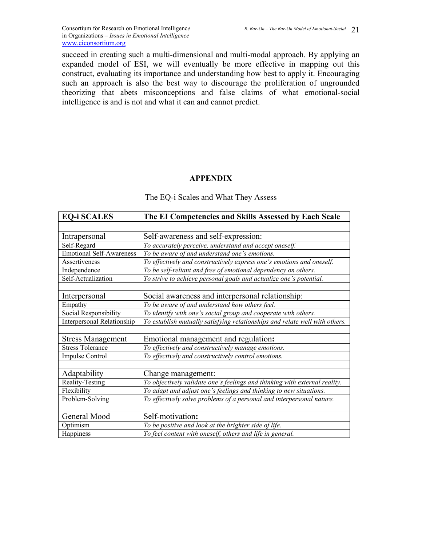succeed in creating such a multi-dimensional and multi-modal approach. By applying an expanded model of ESI, we will eventually be more effective in mapping out this construct, evaluating its importance and understanding how best to apply it. Encouraging such an approach is also the best way to discourage the proliferation of ungrounded theorizing that abets misconceptions and false claims of what emotional-social intelligence is and is not and what it can and cannot predict.

## **APPENDIX**

| <b>EQ-i SCALES</b>                | The EI Competencies and Skills Assessed by Each Scale                       |
|-----------------------------------|-----------------------------------------------------------------------------|
|                                   |                                                                             |
| Intrapersonal                     | Self-awareness and self-expression:                                         |
| Self-Regard                       | To accurately perceive, understand and accept oneself.                      |
| <b>Emotional Self-Awareness</b>   | To be aware of and understand one's emotions.                               |
| Assertiveness                     | To effectively and constructively express one's emotions and oneself.       |
| Independence                      | To be self-reliant and free of emotional dependency on others.              |
| Self-Actualization                | To strive to achieve personal goals and actualize one's potential.          |
|                                   |                                                                             |
| Interpersonal                     | Social awareness and interpersonal relationship:                            |
| Empathy                           | To be aware of and understand how others feel.                              |
| Social Responsibility             | To identify with one's social group and cooperate with others.              |
| <b>Interpersonal Relationship</b> | To establish mutually satisfying relationships and relate well with others. |
|                                   |                                                                             |
| <b>Stress Management</b>          | Emotional management and regulation:                                        |
| <b>Stress Tolerance</b>           | To effectively and constructively manage emotions.                          |
| Impulse Control                   | To effectively and constructively control emotions.                         |
|                                   |                                                                             |
| Adaptability                      | Change management:                                                          |
| Reality-Testing                   | To objectively validate one's feelings and thinking with external reality.  |
| Flexibility                       | To adapt and adjust one's feelings and thinking to new situations.          |
| Problem-Solving                   | To effectively solve problems of a personal and interpersonal nature.       |
|                                   |                                                                             |
| General Mood                      | Self-motivation:                                                            |
| Optimism                          | To be positive and look at the brighter side of life.                       |
| Happiness                         | To feel content with oneself, others and life in general.                   |

### The EQ-i Scales and What They Assess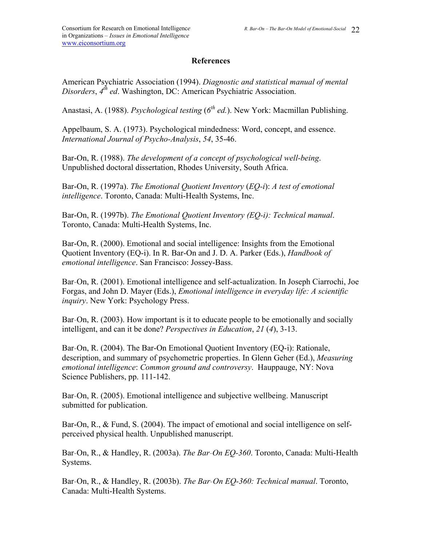## **References**

American Psychiatric Association (1994). *Diagnostic and statistical manual of mental Disorders*, *4th ed*. Washington, DC: American Psychiatric Association.

Anastasi, A. (1988). *Psychological testing* (6<sup>th</sup> ed.). New York: Macmillan Publishing.

Appelbaum, S. A. (1973). Psychological mindedness: Word, concept, and essence. *International Journal of Psycho-Analysis*, *54*, 35-46.

Bar-On, R. (1988). *The development of a concept of psychological well-being*. Unpublished doctoral dissertation, Rhodes University, South Africa.

Bar-On, R. (1997a). *The Emotional Quotient Inventory* (*EQ-i*): *A test of emotional intelligence*. Toronto, Canada: Multi-Health Systems, Inc.

Bar-On, R. (1997b). *The Emotional Quotient Inventory (EQ-i): Technical manual*. Toronto, Canada: Multi-Health Systems, Inc.

Bar-On, R. (2000). Emotional and social intelligence: Insights from the Emotional Quotient Inventory (EQ-i). In R. Bar-On and J. D. A. Parker (Eds.), *Handbook of emotional intelligence*. San Francisco: Jossey-Bass.

Bar-On, R. (2001). Emotional intelligence and self-actualization. In Joseph Ciarrochi, Joe Forgas, and John D. Mayer (Eds.), *Emotional intelligence in everyday life: A scientific inquiry*. New York: Psychology Press.

Bar-On, R. (2003). How important is it to educate people to be emotionally and socially intelligent, and can it be done? *Perspectives in Education*, *21* (*4*), 3-13.

Bar-On, R. (2004). The Bar-On Emotional Quotient Inventory (EQ-i): Rationale, description, and summary of psychometric properties. In Glenn Geher (Ed.), *Measuring emotional intelligence*: *Common ground and controversy*. Hauppauge, NY: Nova Science Publishers, pp. 111-142.

Bar-On, R. (2005). Emotional intelligence and subjective wellbeing. Manuscript submitted for publication.

Bar-On, R., & Fund, S. (2004). The impact of emotional and social intelligence on selfperceived physical health. Unpublished manuscript.

Bar-On, R., & Handley, R. (2003a). *The Bar-On EQ-360*. Toronto, Canada: Multi-Health Systems.

Bar-On, R., & Handley, R. (2003b). *The Bar-On EQ-360: Technical manual*. Toronto, Canada: Multi-Health Systems.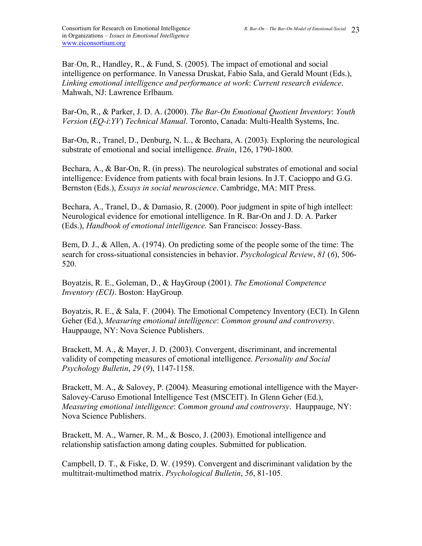Bar-On, R., Handley, R., & Fund, S. (2005). The impact of emotional and social intelligence on performance. In Vanessa Druskat, Fabio Sala, and Gerald Mount (Eds.), *Linking emotional intelligence and performance at work*: *Current research evidence*. Mahwah, NJ: Lawrence Erlbaum.

Bar-On, R., & Parker, J. D. A. (2000). *The Bar-On Emotional Quotient Inventory*: *Youth Version* (*EQ-i*:*YV*) *Technical Manual*. Toronto, Canada: Multi-Health Systems, Inc.

Bar-On, R., Tranel, D., Denburg, N. L., & Bechara, A. (2003). Exploring the neurological substrate of emotional and social intelligence. *Brain*, 126, 1790-1800.

Bechara, A., & Bar-On, R. (in press). The neurological substrates of emotional and social intelligence: Evidence from patients with focal brain lesions. In J.T. Cacioppo and G.G. Bernston (Eds.), *Essays in social neuroscience*. Cambridge, MA: MIT Press.

Bechara, A., Tranel, D., & Damasio, R. (2000). Poor judgment in spite of high intellect: Neurological evidence for emotional intelligence. In R. Bar-On and J. D. A. Parker (Eds.), *Handbook of emotional intelligence.* San Francisco: Jossey-Bass.

Bem, D. J., & Allen, A. (1974). On predicting some of the people some of the time: The search for cross-situational consistencies in behavior. *Psychological Review*, *81* (*6*), 506- 520.

Boyatzis, R. E., Goleman, D., & HayGroup (2001). *The Emotional Competence Inventory (ECI)*. Boston: HayGroup.

Boyatzis, R. E., & Sala, F. (2004). The Emotional Competency Inventory (ECI). In Glenn Geher (Ed.), *Measuring emotional intelligence*: *Common ground and controversy*. Hauppauge, NY: Nova Science Publishers.

Brackett, M. A., & Mayer, J. D. (2003). Convergent, discriminant, and incremental validity of competing measures of emotional intelligence. *Personality and Social Psychology Bulletin*, *29* (*9*), 1147-1158.

Brackett, M. A., & Salovey, P. (2004). Measuring emotional intelligence with the Mayer-Salovey-Caruso Emotional Intelligence Test (MSCEIT). In Glenn Geher (Ed.), *Measuring emotional intelligence*: *Common ground and controversy*. Hauppauge, NY: Nova Science Publishers.

Brackett, M. A., Warner, R. M., & Bosco, J. (2003). Emotional intelligence and relationship satisfaction among dating couples. Submitted for publication.

Campbell, D. T., & Fiske, D. W. (1959). Convergent and discriminant validation by the multitrait-multimethod matrix. *Psychological Bulletin*, *56*, 81-105.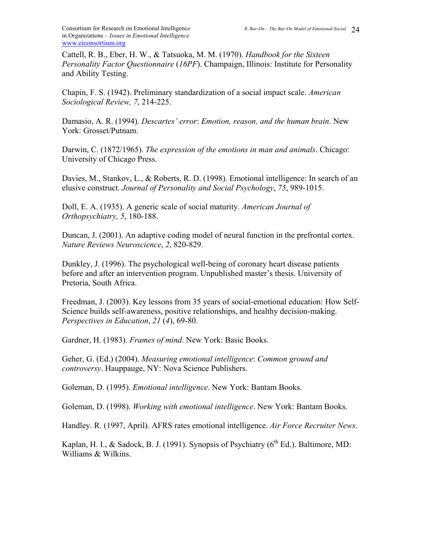Cattell, R. B., Eber, H. W., & Tatsuoka, M. M. (1970). *Handbook for the Sixteen Personality Factor Questionnaire* (*16PF*). Champaign, Illinois: Institute for Personality and Ability Testing.

Chapin, F. S. (1942). Preliminary standardization of a social impact scale. *American Sociological Review, 7*, 214-225.

Damasio, A. R. (1994). *Descartes' error*: *Emotion, reason, and the human brain*. New York: Grosset/Putnam.

Darwin, C. (1872/1965). *The expression of the emotions in man and animals*. Chicago: University of Chicago Press.

Davies, M., Stankov, L., & Roberts, R. D. (1998). Emotional intelligence: In search of an elusive construct. *Journal of Personality and Social Psychology*, *75*, 989-1015.

Doll, E. A. (1935). A generic scale of social maturity. *American Journal of Orthopsychiatry, 5*, 180-188.

Duncan, J. (2001). An adaptive coding model of neural function in the prefrontal cortex. *Nature Reviews Neuroscience*, *2*, 820-829.

Dunkley, J. (1996). The psychological well-being of coronary heart disease patients before and after an intervention program. Unpublished master's thesis. University of Pretoria, South Africa.

Freedman, J. (2003). Key lessons from 35 years of social-emotional education: How Self-Science builds self-awareness, positive relationships, and healthy decision-making. *Perspectives in Education*, *21* (*4*), 69-80.

Gardner, H. (1983). *Frames of mind*. New York: Basic Books.

Geher, G. (Ed.) (2004). *Measuring emotional intelligence*: *Common ground and controversy*. Hauppauge, NY: Nova Science Publishers.

Goleman, D. (1995). *Emotional intelligence*. New York: Bantam Books.

Goleman, D. (1998). *Working with emotional intelligence*. New York: Bantam Books.

Handley. R. (1997, April). AFRS rates emotional intelligence. *Air Force Recruiter News*.

Kaplan, H. I., & Sadock, B. J. (1991). Synopsis of Psychiatry ( $6<sup>th</sup> Ed$ .). Baltimore, MD: Williams & Wilkins.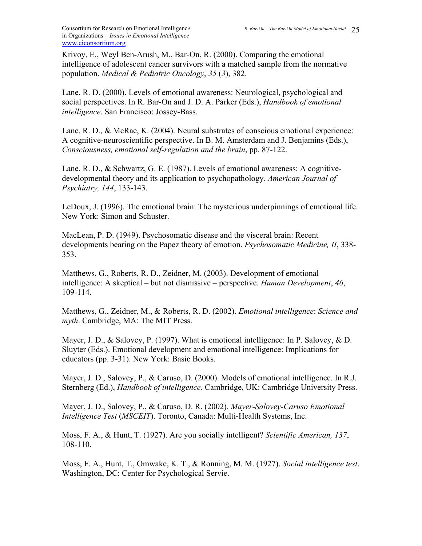Krivoy, E., Weyl Ben-Arush, M., Bar-On, R. (2000). Comparing the emotional intelligence of adolescent cancer survivors with a matched sample from the normative population. *Medical & Pediatric Oncology*, *35* (*3*), 382.

Lane, R. D. (2000). Levels of emotional awareness: Neurological, psychological and social perspectives. In R. Bar-On and J. D. A. Parker (Eds.), *Handbook of emotional intelligence*. San Francisco: Jossey-Bass.

Lane, R. D., & McRae, K. (2004). Neural substrates of conscious emotional experience: A cognitive-neuroscientific perspective. In B. M. Amsterdam and J. Benjamins (Eds.), *Consciousness, emotional self-regulation and the brain*, pp. 87-122.

Lane, R. D., & Schwartz, G. E. (1987). Levels of emotional awareness: A cognitivedevelopmental theory and its application to psychopathology. *American Journal of Psychiatry, 144*, 133-143.

LeDoux, J. (1996). The emotional brain: The mysterious underpinnings of emotional life. New York: Simon and Schuster.

MacLean, P. D. (1949). Psychosomatic disease and the visceral brain: Recent developments bearing on the Papez theory of emotion. *Psychosomatic Medicine, II*, 338- 353.

Matthews, G., Roberts, R. D., Zeidner, M. (2003). Development of emotional intelligence: A skeptical – but not dismissive – perspective. *Human Development*, *46*, 109-114.

Matthews, G., Zeidner, M., & Roberts, R. D. (2002). *Emotional intelligence*: *Science and myth*. Cambridge, MA: The MIT Press.

Mayer, J. D., & Salovey, P. (1997). What is emotional intelligence: In P. Salovey, & D. Sluyter (Eds.). Emotional development and emotional intelligence: Implications for educators (pp. 3-31). New York: Basic Books.

Mayer, J. D., Salovey, P., & Caruso, D. (2000). Models of emotional intelligence. In R.J. Sternberg (Ed.), *Handbook of intelligence*. Cambridge, UK: Cambridge University Press.

Mayer, J. D., Salovey, P., & Caruso, D. R. (2002). *Mayer-Salovey-Caruso Emotional Intelligence Test* (*MSCEIT*). Toronto, Canada: Multi-Health Systems, Inc.

Moss, F. A., & Hunt, T. (1927). Are you socially intelligent? *Scientific American, 137*, 108-110.

Moss, F. A., Hunt, T., Omwake, K. T., & Ronning, M. M. (1927). *Social intelligence test*. Washington, DC: Center for Psychological Servie.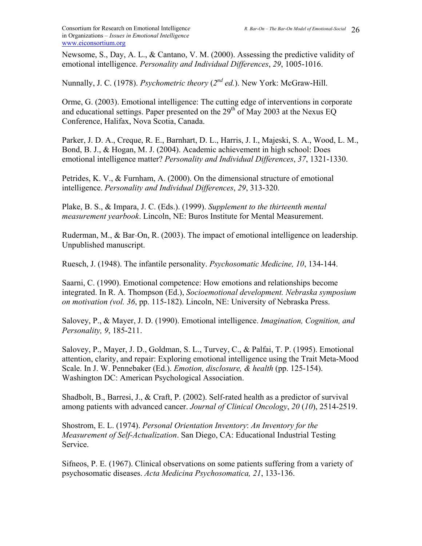Newsome, S., Day, A. L., & Cantano, V. M. (2000). Assessing the predictive validity of emotional intelligence. *Personality and Individual Differences*, *29*, 1005-1016.

Nunnally, J. C. (1978). *Psychometric theory* (*2nd ed.*). New York: McGraw-Hill.

Orme, G. (2003). Emotional intelligence: The cutting edge of interventions in corporate and educational settings. Paper presented on the  $29<sup>th</sup>$  of May 2003 at the Nexus EQ Conference, Halifax, Nova Scotia, Canada.

Parker, J. D. A., Creque, R. E., Barnhart, D. L., Harris, J. I., Majeski, S. A., Wood, L. M., Bond, B. J., & Hogan, M. J. (2004). Academic achievement in high school: Does emotional intelligence matter? *Personality and Individual Differences*, *37*, 1321-1330.

Petrides, K. V., & Furnham, A. (2000). On the dimensional structure of emotional intelligence. *Personality and Individual Differences*, *29*, 313-320.

Plake, B. S., & Impara, J. C. (Eds.). (1999). *Supplement to the thirteenth mental measurement yearbook*. Lincoln, NE: Buros Institute for Mental Measurement.

Ruderman, M., & Bar-On, R. (2003). The impact of emotional intelligence on leadership. Unpublished manuscript.

Ruesch, J. (1948). The infantile personality. *Psychosomatic Medicine, 10*, 134-144.

Saarni, C. (1990). Emotional competence: How emotions and relationships become integrated. In R. A. Thompson (Ed.), *Socioemotional development. Nebraska symposium on motivation (vol. 36*, pp. 115-182). Lincoln, NE: University of Nebraska Press.

Salovey, P., & Mayer, J. D. (1990). Emotional intelligence. *Imagination, Cognition, and Personality, 9*, 185-211.

Salovey, P., Mayer, J. D., Goldman, S. L., Turvey, C., & Palfai, T. P. (1995). Emotional attention, clarity, and repair: Exploring emotional intelligence using the Trait Meta-Mood Scale. In J. W. Pennebaker (Ed.). *Emotion, disclosure, & health* (pp. 125-154). Washington DC: American Psychological Association.

Shadbolt, B., Barresi, J., & Craft, P. (2002). Self-rated health as a predictor of survival among patients with advanced cancer. *Journal of Clinical Oncology*, *20* (*10*), 2514-2519.

Shostrom, E. L. (1974). *Personal Orientation Inventory*: *An Inventory for the Measurement of Self-Actualization*. San Diego, CA: Educational Industrial Testing Service.

Sifneos, P. E. (1967). Clinical observations on some patients suffering from a variety of psychosomatic diseases. *Acta Medicina Psychosomatica, 21*, 133-136.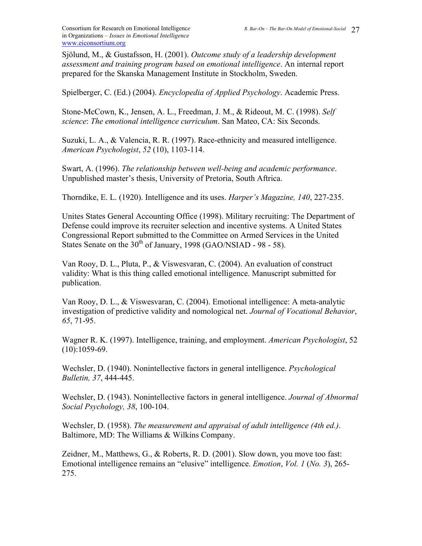Sjölund, M., & Gustafsson, H. (2001). *Outcome study of a leadership development assessment and training program based on emotional intelligence*. An internal report prepared for the Skanska Management Institute in Stockholm, Sweden.

Spielberger, C. (Ed.) (2004). *Encyclopedia of Applied Psychology*. Academic Press.

Stone-McCown, K., Jensen, A. L., Freedman, J. M., & Rideout, M. C. (1998). *Self science*: *The emotional intelligence curriculum*. San Mateo, CA: Six Seconds.

Suzuki, L. A., & Valencia, R. R. (1997). Race-ethnicity and measured intelligence. *American Psychologist*, *52* (10), 1103-114.

Swart, A. (1996). *The relationship between well-being and academic performance*. Unpublished master's thesis, University of Pretoria, South Aftrica.

Thorndike, E. L. (1920). Intelligence and its uses. *Harper's Magazine, 140*, 227-235.

Unites States General Accounting Office (1998). Military recruiting: The Department of Defense could improve its recruiter selection and incentive systems. A United States Congressional Report submitted to the Committee on Armed Services in the United States Senate on the 30<sup>th</sup> of January, 1998 (GAO/NSIAD - 98 - 58).

Van Rooy, D. L., Pluta, P., & Viswesvaran, C. (2004). An evaluation of construct validity: What is this thing called emotional intelligence. Manuscript submitted for publication.

Van Rooy, D. L., & Viswesvaran, C. (2004). Emotional intelligence: A meta-analytic investigation of predictive validity and nomological net. *Journal of Vocational Behavior*, *65*, 71-95.

Wagner R. K. (1997). Intelligence, training, and employment. *American Psychologist*, 52  $(10):1059-69.$ 

Wechsler, D. (1940). Nonintellective factors in general intelligence. *Psychological Bulletin, 37*, 444-445.

Wechsler, D. (1943). Nonintellective factors in general intelligence. *Journal of Abnormal Social Psychology, 38*, 100-104.

Wechsler, D. (1958). *The measurement and appraisal of adult intelligence (4th ed.)*. Baltimore, MD: The Williams & Wilkins Company.

Zeidner, M., Matthews, G., & Roberts, R. D. (2001). Slow down, you move too fast: Emotional intelligence remains an "elusive" intelligence. *Emotion*, *Vol. 1* (*No. 3*), 265- 275.